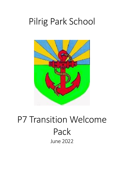# Pilrig Park School



## P7 Transition Welcome Pack June 2022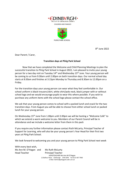



8 th June 2022

Dear Parent / Carer,

#### **Transition days at Pilrig Park School**

Now that we have completed the Welcome and Child Planning Meetings to plan the successful transition to Pilrig Park School in August 2022, I am pleased to invite your young person for a two day visit on Tuesday 14th and Wednesday 15th June. Your young person will be coming to us from 9:30am until 2.00pm on both transition days. Our normal school day starts at 8:30am and finishes at 3:15pm Monday to Thursday and 8.30am to 12.00pm on a Friday.

For the transition days your young person can wear what they feel comfortable in. Our school uniform is black trousers/skirt, white shirt/polo neck, black jumper with or without school logo and we would encourage pupils to wear this where possible. If you wish to purchase any uniform items with the school logo please contact the school office.

We ask that your young person comes to school with a packed lunch and snack for the two transition days. From August you will be able to choose from either school lunch or packed lunch for your young person.

On Wednesday 15th June from 1.00pm until 2.00pm we will be hosting a "Welcome Café" to which we extend a warm welcome to you. Members of our Parent Council will be in attendance and we include a welcome letter from them in this pack

If you require any further information please contact Ruth McLarty, Principal Teacher of Support for Learning, who will also be your young person's Year Head for their first two years at Pilrig Park School.

We look forward to welcoming you and your young person to Pilrig Park School next week

With every best wish, Ms Ann M. O'Hagan and Ms Ruth McLarty Head Teacher Principal Teacher

HEADTEACHER Ms Ann M O'Hagan 12 Balfour Place Edinburgh EH6 5DW Tel 0131 467 7960 E-Mail: Admin@pilrigpark.edin.sch.uk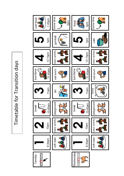Timetable for Transition days Timetable for Transition days

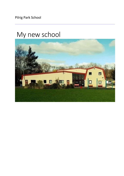Pilrig Park School

## My new school

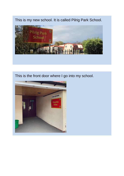This is my new school. It is called Pilrig Park School.



### This is the front door where I go into my school.

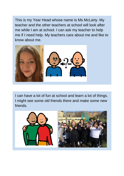This is my Year Head whose name is Ms McLarty. My teacher and the other teachers at school will look after me while I am at school. I can ask my teacher to help me if I need help. My teachers care about me and like to know about me.



I can have a lot of fun at school and learn a lot of things. I might see some old friends there and make some new friends.

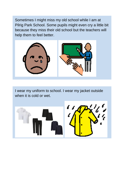Sometimes I might miss my old school while I am at Pilrig Park School. Some pupils might even cry a little bit because they miss their old school but the teachers will help them to feel better.



I wear my uniform to school. I wear my jacket outside when it is cold or wet.

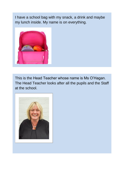I have a school bag with my snack, a drink and maybe my lunch inside. My name is on everything.



This is the Head Teacher whose name is Ms O'Hagan. The Head Teacher looks after all the pupils and the Staff at the school.

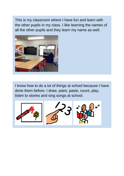This is my classroom where I have fun and learn with the other pupils in my class. I like learning the names of all the other pupils and they learn my name as well.



I know how to do a lot of things at school because I have done them before. I draw, paint, paste, count, play, listen to stories and sing songs at school.

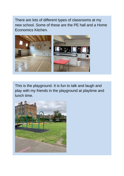There are lots of different types of classrooms at my new school. Some of these are the PE hall and a Home Economics Kitchen.



This is the playground. It is fun to talk and laugh and play with my friends in the playground at playtime and lunch time.

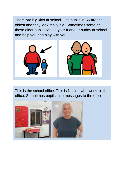There are big kids at school. The pupils in S6 are the oldest and they look really big. Sometimes some of these older pupils can be your friend or buddy at school and help you and play with you.



This is the school office. This is Natalie who works in the office. Sometimes pupils take messages to the office.

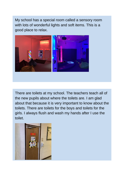My school has a special room called a sensory room with lots of wonderful lights and soft items. This is a good place to relax.



There are toilets at my school. The teachers teach all of the new pupils about where the toilets are. I am glad about that because it is very important to know about the toilets. There are toilets for the boys and toilets for the girls. I always flush and wash my hands after I use the toilet.

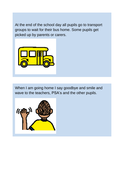At the end of the school day all pupils go to transport groups to wait for their bus home. Some pupils get picked up by parents or carers.



When I am going home I say goodbye and smile and wave to the teachers, PSA's and the other pupils.

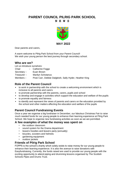#### **PARENT COUNCIL PILRIG PARK SCHOOL N E W S**



Dear parents and carers,

A warm welcome to Pilrig Park School from your Parent Council! We wish your young person the best journey through secondary school.

#### **Who are we?**

Let us introduce ourselves:

- Chair Catherine Foggo
- Secretary Euan Brown
- Treasurer ‒ Marilyn Schotanus

Members – Pixie Carr, Debbie Dalgleish, Sally Hyder, Heather King

#### **Role of the Parent Council**

- to work in partnership with the school to create a welcoming environment which is inclusive to all parents and carers
- to promote partnership with the parents, carers, pupils and school
- to develop and engage in activities which support the education and welfare of the pupils
- to promote equality and fairness
- to identify and represent the views of parents and carers on the education provided by the school and other matters affecting the education and welfare of the pupils

#### **Parent Council Fundraising Events**

Once a year we organise a big fundraiser in December, our fabulous Christmas Fair to raise much needed funds for our young people to enhance their learning experience at Pilrig Park School. We hope to organise new fundraising activities as soon as we are permitted.

#### **A few examples of what the money was spent on**

- the outdoor classroom
- sound system for the Drama department
- leavers hoodies and leavers party (annually)
- bicycles, scooters and helmets
- gardening equipment
- outdoor jackets

#### **Friends of Pilrig Park School**

FOPPS is the school's charity which solely exists to raise money for our young people to enhance their learning experience. It is also the avenue to raise donations with Easyfundraising. Currently, the funds raised are used to provide our young people with the exciting opportunity to attend piping and drumming lessons organised by The Scottish Schools Pipes and Drums Trust.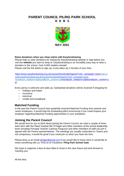### **PARENT COUNCIL PILRIG PARK SCHOOL**

**N E W S** 



#### **Raise donations when you shop online with Easyfundraising**

Please help us raise donations by visiting the Easyfundraising website or App before you visit the **website** you want to shop at. Easyfundraising is an incredibly easy way to raise a donation to the school. Over 6,000 retailers donate!

Please visit the link below to sign up; it only takes up 2 minutes of your time.

[https://www.easyfundraising.org.uk/causes/friendsofpilrigpark/?utm\\_campaign=raise](https://www.easyfundraising.org.uk/causes/friendsofpilrigpark/?utm_campaign=raise-more&utm_medium=clipboard&utm_content=cpl)[https://](https://www.easyfundraising.org.uk/causes/friendsofpilrigpark/?utm_campaign=raise-more&utm_medium=clipboard&utm_content=cpl) [www.easyfundraising.org.uk/causes/friendsofpilrigpark/?utm\\_campaign=raise](https://www.easyfundraising.org.uk/causes/friendsofpilrigpark/?utm_campaign=raise-more&utm_medium=clipboard&utm_content=cpl)[more&utm\\_medium=clipboard&utm\\_content=cpl](https://www.easyfundraising.org.uk/causes/friendsofpilrigpark/?utm_campaign=raise-more&utm_medium=clipboard&utm_content=cpl)[more&utm\\_medium=clipboard&utm\\_content=c](https://www.easyfundraising.org.uk/causes/friendsofpilrigpark/?utm_campaign=raise-more&utm_medium=clipboard&utm_content=cpl) [pl](https://www.easyfundraising.org.uk/causes/friendsofpilrigpark/?utm_campaign=raise-more&utm_medium=clipboard&utm_content=cpl)

Every penny is welcome and adds up. Substantial donations will be received if shopping for:

- holidays and hotels
- insurance
- electrical
- mobile and broadband

#### **Matched Funding**

In the past the Parent Council have gratefully received Matched Funding from parents and carers employers. It would help the fundraising effort enormously if you could enquire your employer regarding Matched Funding opportunities in your workplace.

#### **Joining the Parent Council**

We would love for you to think about joining the Parent Council; we meet a couple of times each term with the Head Teacher Ms O'Hagan and other members of the school leadership team including Principal Teacher Catriona Ferguson and other members of staff can join if agreed with the Parent representatives. The meetings are usually conducted on Teams and not compulsory, it would be great if you could join us when you have the time.

Please drop us an email pilrigpc@gmail.com if you would like to know more or would like to share something with us. Find us on Facebook: **Pilrig Park School Gate** 

We hope to organise a face-to-face Meet & Greet in the near future and look forward to meeting you!

All the best,